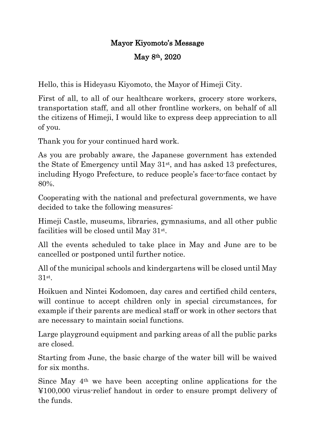## Mayor Kiyomoto's Message May 8th, 2020

Hello, this is Hideyasu Kiyomoto, the Mayor of Himeji City.

First of all, to all of our healthcare workers, grocery store workers, transportation staff, and all other frontline workers, on behalf of all the citizens of Himeji, I would like to express deep appreciation to all of you.

Thank you for your continued hard work.

As you are probably aware, the Japanese government has extended the State of Emergency until May 31st, and has asked 13 prefectures, including Hyogo Prefecture, to reduce people's face-to-face contact by 80%.

Cooperating with the national and prefectural governments, we have decided to take the following measures:

Himeji Castle, museums, libraries, gymnasiums, and all other public facilities will be closed until May 31<sup>st</sup>.

All the events scheduled to take place in May and June are to be cancelled or postponed until further notice.

All of the municipal schools and kindergartens will be closed until May 31st .

Hoikuen and Nintei Kodomoen, day cares and certified child centers, will continue to accept children only in special circumstances, for example if their parents are medical staff or work in other sectors that are necessary to maintain social functions.

Large playground equipment and parking areas of all the public parks are closed.

Starting from June, the basic charge of the water bill will be waived for six months.

Since May 4th we have been accepting online applications for the ¥100,000 virus-relief handout in order to ensure prompt delivery of the funds.